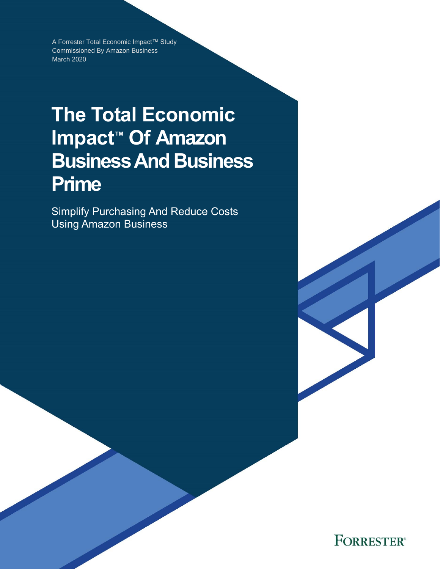A Forrester Total Economic Impact™ Study Commissioned By Amazon Business March 2020

# **The Total Economic Impact™ Of Amazon Business And Business Prime**

Simplify Purchasing And Reduce Costs Using Amazon Business

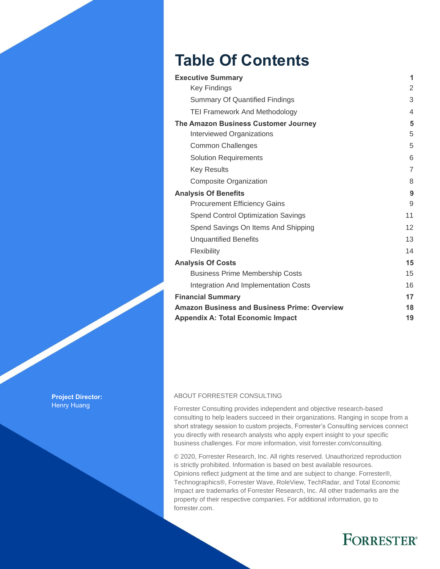# **Table Of Contents**

| <b>Executive Summary</b>                            | 1              |
|-----------------------------------------------------|----------------|
| <b>Key Findings</b>                                 | 2              |
| <b>Summary Of Quantified Findings</b>               | 3              |
| <b>TEI Framework And Methodology</b>                | 4              |
| The Amazon Business Customer Journey                | 5              |
| <b>Interviewed Organizations</b>                    | 5              |
| <b>Common Challenges</b>                            | 5              |
| <b>Solution Requirements</b>                        | 6              |
| <b>Key Results</b>                                  | $\overline{7}$ |
| Composite Organization                              | 8              |
| <b>Analysis Of Benefits</b>                         | 9              |
| <b>Procurement Efficiency Gains</b>                 | 9              |
| <b>Spend Control Optimization Savings</b>           | 11             |
| Spend Savings On Items And Shipping                 | 12             |
| <b>Unquantified Benefits</b>                        | 13             |
| Flexibility                                         | 14             |
| <b>Analysis Of Costs</b>                            | 15             |
| <b>Business Prime Membership Costs</b>              | 15             |
| <b>Integration And Implementation Costs</b>         | 16             |
| <b>Financial Summary</b>                            | 17             |
| <b>Amazon Business and Business Prime: Overview</b> | 18             |
| <b>Appendix A: Total Economic Impact</b>            | 19             |

#### ABOUT FORRESTER CONSULTING

Forrester Consulting provides independent and objective research-based consulting to help leaders succeed in their organizations. Ranging in scope from a short strategy session to custom projects, Forrester's Consulting services connect you directly with research analysts who apply expert insight to your specific business challenges. For more information, visit forrester.com/consulting.

© 2020, Forrester Research, Inc. All rights reserved. Unauthorized reproduction is strictly prohibited. Information is based on best available resources. Opinions reflect judgment at the time and are subject to change. Forrester®, Technographics®, Forrester Wave, RoleView, TechRadar, and Total Economic Impact are trademarks of Forrester Research, Inc. All other trademarks are the property of their respective companies. For additional information, go to forrester.com.

# **FORRESTER®**

**Project Director:** Henry Huang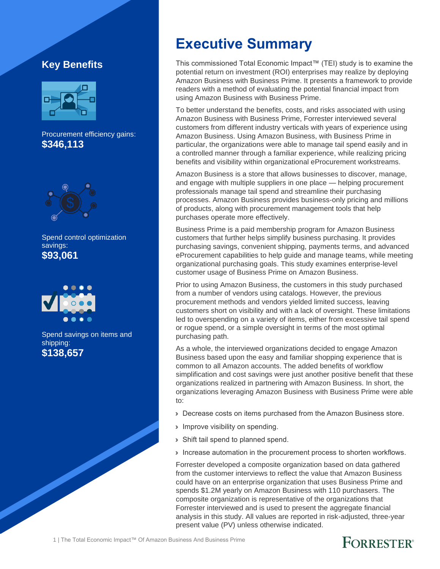#### **Key Benefits**



Procurement efficiency gains: **\$346,113**



Spend control optimization savings: **\$93,061**



Spend savings on items and shipping: **\$138,657**

# **Executive Summary**

This commissioned Total Economic Impact™ (TEI) study is to examine the potential return on investment (ROI) enterprises may realize by deploying Amazon Business with Business Prime. It presents a framework to provide readers with a method of evaluating the potential financial impact from using Amazon Business with Business Prime.

To better understand the benefits, costs, and risks associated with using Amazon Business with Business Prime, Forrester interviewed several customers from different industry verticals with years of experience using Amazon Business. Using Amazon Business, with Business Prime in particular, the organizations were able to manage tail spend easily and in a controlled manner through a familiar experience, while realizing pricing benefits and visibility within organizational eProcurement workstreams.

Amazon Business is a store that allows businesses to discover, manage, and engage with multiple suppliers in one place — helping procurement professionals manage tail spend and streamline their purchasing processes. Amazon Business provides business-only pricing and millions of products, along with procurement management tools that help purchases operate more effectively.

Business Prime is a paid membership program for Amazon Business customers that further helps simplify business purchasing. It provides purchasing savings, convenient shipping, payments terms, and advanced eProcurement capabilities to help guide and manage teams, while meeting organizational purchasing goals. This study examines enterprise-level customer usage of Business Prime on Amazon Business.

Prior to using Amazon Business, the customers in this study purchased from a number of vendors using catalogs. However, the previous procurement methods and vendors yielded limited success, leaving customers short on visibility and with a lack of oversight. These limitations led to overspending on a variety of items, either from excessive tail spend or rogue spend, or a simple oversight in terms of the most optimal purchasing path.

As a whole, the interviewed organizations decided to engage Amazon Business based upon the easy and familiar shopping experience that is common to all Amazon accounts. The added benefits of workflow simplification and cost savings were just another positive benefit that these organizations realized in partnering with Amazon Business. In short, the organizations leveraging Amazon Business with Business Prime were able to:

- › Decrease costs on items purchased from the Amazon Business store.
- **Improve visibility on spending.**
- › Shift tail spend to planned spend.
- › Increase automation in the procurement process to shorten workflows.

Forrester developed a composite organization based on data gathered from the customer interviews to reflect the value that Amazon Business could have on an enterprise organization that uses Business Prime and spends \$1.2M yearly on Amazon Business with 110 purchasers. The composite organization is representative of the organizations that Forrester interviewed and is used to present the aggregate financial analysis in this study. All values are reported in risk-adjusted, three-year present value (PV) unless otherwise indicated.

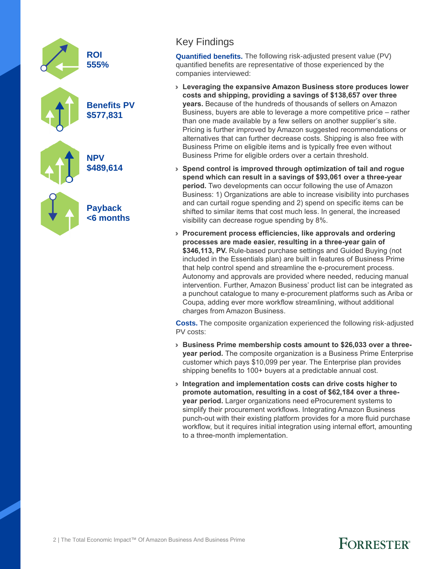

#### Key Findings

**Quantified benefits.** The following risk-adjusted present value (PV) quantified benefits are representative of those experienced by the companies interviewed:

- › **Leveraging the expansive Amazon Business store produces lower costs and shipping, providing a savings of \$138,657 over three years.** Because of the hundreds of thousands of sellers on Amazon Business, buyers are able to leverage a more competitive price – rather than one made available by a few sellers on another supplier's site. Pricing is further improved by Amazon suggested recommendations or alternatives that can further decrease costs. Shipping is also free with Business Prime on eligible items and is typically free even without Business Prime for eligible orders over a certain threshold.
- › **Spend control is improved through optimization of tail and rogue spend which can result in a savings of \$93,061 over a three-year period.** Two developments can occur following the use of Amazon Business: 1) Organizations are able to increase visibility into purchases and can curtail rogue spending and 2) spend on specific items can be shifted to similar items that cost much less. In general, the increased visibility can decrease rogue spending by 8%.
- › **Procurement process efficiencies, like approvals and ordering processes are made easier, resulting in a three-year gain of**  \$346,113, PV. Rule-based purchase settings and Guided Buying (not included in the Essentials plan) are built in features of Business Prime that help control spend and streamline the e-procurement process. Autonomy and approvals are provided where needed, reducing manual intervention. Further, Amazon Business' product list can be integrated as a punchout catalogue to many e-procurement platforms such as Ariba or Coupa, adding ever more workflow streamlining, without additional charges from Amazon Business.

**Costs.** The composite organization experienced the following risk-adjusted PV costs:

- › **Business Prime membership costs amount to \$26,033 over a threeyear period.** The composite organization is a Business Prime Enterprise customer which pays \$10,099 per year. The Enterprise plan provides shipping benefits to 100+ buyers at a predictable annual cost.
- › **Integration and implementation costs can drive costs higher to promote automation, resulting in a cost of \$62,184 over a threeyear period.** Larger organizations need eProcurement systems to simplify their procurement workflows. Integrating Amazon Business punch-out with their existing platform provides for a more fluid purchase workflow, but it requires initial integration using internal effort, amounting to a three-month implementation.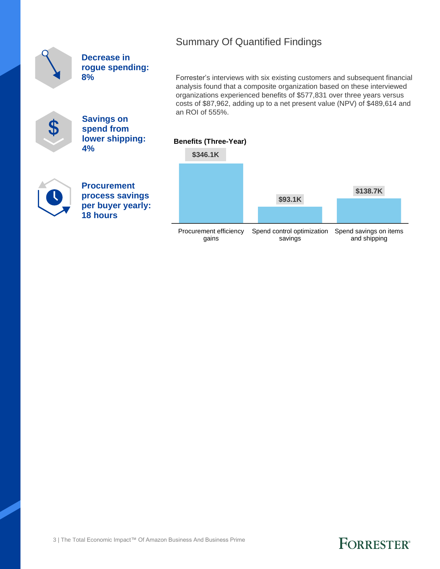|  |  | <b>Summary Of Quantified Findings</b> |  |
|--|--|---------------------------------------|--|
|--|--|---------------------------------------|--|

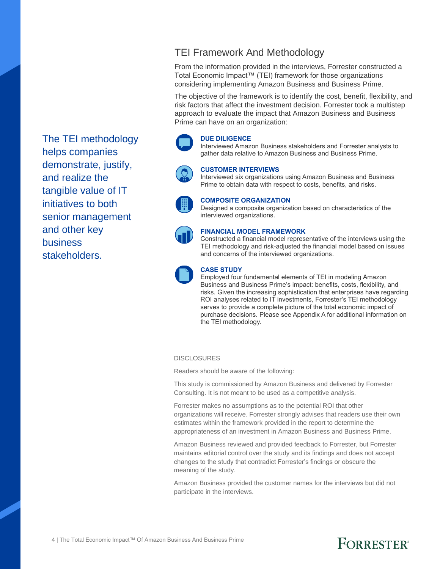The TEI methodology helps companies demonstrate, justify, and realize the tangible value of IT initiatives to both senior management and other key business stakeholders.

#### TEI Framework And Methodology

From the information provided in the interviews, Forrester constructed a Total Economic Impact™ (TEI) framework for those organizations considering implementing Amazon Business and Business Prime.

The objective of the framework is to identify the cost, benefit, flexibility, and risk factors that affect the investment decision. Forrester took a multistep approach to evaluate the impact that Amazon Business and Business Prime can have on an organization:

#### **DUE DILIGENCE**

Interviewed Amazon Business stakeholders and Forrester analysts to gather data relative to Amazon Business and Business Prime.



#### **CUSTOMER INTERVIEWS**

Interviewed six organizations using Amazon Business and Business Prime to obtain data with respect to costs, benefits, and risks.



#### **COMPOSITE ORGANIZATION**

Designed a composite organization based on characteristics of the interviewed organizations.



#### **FINANCIAL MODEL FRAMEWORK**

Constructed a financial model representative of the interviews using the TEI methodology and risk-adjusted the financial model based on issues and concerns of the interviewed organizations.



#### **CASE STUDY**

Employed four fundamental elements of TEI in modeling Amazon Business and Business Prime's impact: benefits, costs, flexibility, and risks. Given the increasing sophistication that enterprises have regarding ROI analyses related to IT investments, Forrester's TEI methodology serves to provide a complete picture of the total economic impact of purchase decisions. Please see Appendix A for additional information on the TEI methodology.

#### **DISCLOSURES**

Readers should be aware of the following:

This study is commissioned by Amazon Business and delivered by Forrester Consulting. It is not meant to be used as a competitive analysis.

Forrester makes no assumptions as to the potential ROI that other organizations will receive. Forrester strongly advises that readers use their own estimates within the framework provided in the report to determine the appropriateness of an investment in Amazon Business and Business Prime.

Amazon Business reviewed and provided feedback to Forrester, but Forrester maintains editorial control over the study and its findings and does not accept changes to the study that contradict Forrester's findings or obscure the meaning of the study.

Amazon Business provided the customer names for the interviews but did not participate in the interviews.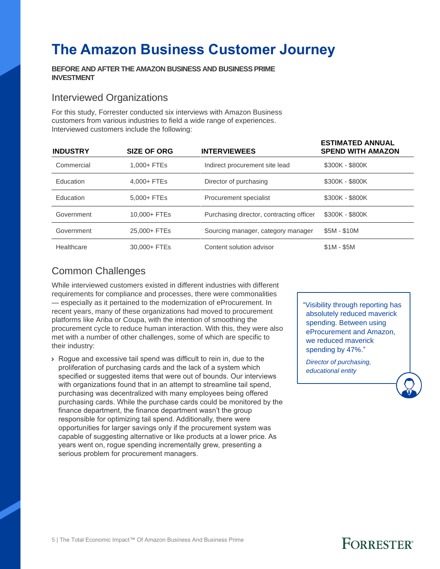# **The Amazon Business Customer Journey**

#### **BEFORE AND AFTER THE AMAZON BUSINESS AND BUSINESS PRIME INVESTMENT**

#### Interviewed Organizations

For this study, Forrester conducted six interviews with Amazon Business customers from various industries to field a wide range of experiences. Interviewed customers include the following:

| <b>INDUSTRY</b> | <b>SIZE OF ORG</b> | <b>INTERVIEWEES</b>                      | LOTIMATED ANNUAL<br><b>SPEND WITH AMAZON</b> |
|-----------------|--------------------|------------------------------------------|----------------------------------------------|
| Commercial      | 1,000+ FTEs        | Indirect procurement site lead           | \$300K - \$800K                              |
| Education       | 4.000+ FTEs        | Director of purchasing                   | \$300K - \$800K                              |
| Education       | 5,000+ FTEs        | Procurement specialist                   | \$300K - \$800K                              |
| Government      | 10,000+ FTEs       | Purchasing director, contracting officer | \$300K - \$800K                              |
| Government      | 25,000+ FTEs       | Sourcing manager, category manager       | \$5M - \$10M                                 |
| Healthcare      | 30,000+ FTEs       | Content solution advisor                 | $$1M - $5M$                                  |

#### Common Challenges

While interviewed customers existed in different industries with different requirements for compliance and processes, there were commonalities — especially as it pertained to the modernization of eProcurement. In recent years, many of these organizations had moved to procurement platforms like Ariba or Coupa, with the intention of smoothing the procurement cycle to reduce human interaction. With this, they were also met with a number of other challenges, some of which are specific to their industry:

› Rogue and excessive tail spend was difficult to rein in, due to the proliferation of purchasing cards and the lack of a system which specified or suggested items that were out of bounds. Our interviews with organizations found that in an attempt to streamline tail spend, purchasing was decentralized with many employees being offered purchasing cards. While the purchase cards could be monitored by the finance department, the finance department wasn't the group responsible for optimizing tail spend. Additionally, there were opportunities for larger savings only if the procurement system was capable of suggesting alternative or like products at a lower price. As years went on, rogue spending incrementally grew, presenting a serious problem for procurement managers.

"Visibility through reporting has absolutely reduced maverick spending. Between using eProcurement and Amazon, we reduced maverick spending by 47%."

**ESTIMATED ANNUAL** 

*Director of purchasing, educational entity*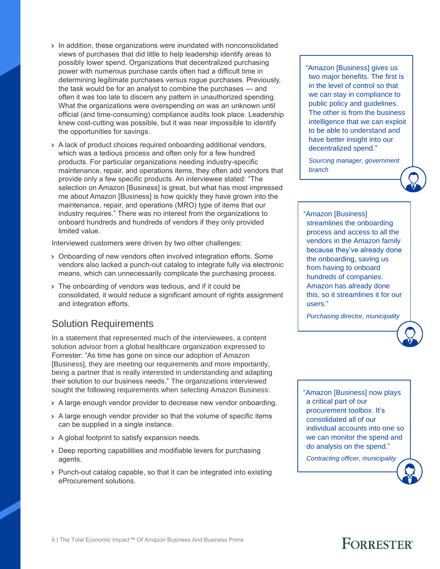- › In addition, these organizations were inundated with nonconsolidated views of purchases that did little to help leadership identify areas to possibly lower spend. Organizations that decentralized purchasing power with numerous purchase cards often had a difficult time in determining legitimate purchases versus rogue purchases. Previously, the task would be for an analyst to combine the purchases — and often it was too late to discern any pattern in unauthorized spending. What the organizations were overspending on was an unknown until official (and time-consuming) compliance audits took place. Leadership knew cost-cutting was possible, but it was near impossible to identify the opportunities for savings.
- › A lack of product choices required onboarding additional vendors, which was a tedious process and often only for a few hundred products. For particular organizations needing industry-specific maintenance, repair, and operations items, they often add vendors that provide only a few specific products. An interviewee stated: "The selection on Amazon [Business] is great, but what has most impressed me about Amazon [Business] is how quickly they have grown into the maintenance, repair, and operations (MRO) type of items that our industry requires." There was no interest from the organizations to onboard hundreds and hundreds of vendors if they only provided limited value.

Interviewed customers were driven by two other challenges:

- › Onboarding of new vendors often involved integration efforts. Some vendors also lacked a punch-out catalog to integrate fully via electronic means, which can unnecessarily complicate the purchasing process.
- › The onboarding of vendors was tedious, and if it could be consolidated, it would reduce a significant amount of rights assignment and integration efforts.

#### Solution Requirements

In a statement that represented much of the interviewees, a content solution advisor from a global healthcare organization expressed to Forrester: "As time has gone on since our adoption of Amazon [Business], they are meeting our requirements and more importantly, being a partner that is really interested in understanding and adapting their solution to our business needs." The organizations interviewed sought the following requirements when selecting Amazon Business:

- › A large enough vendor provider to decrease new vendor onboarding.
- › A large enough vendor provider so that the volume of specific items can be supplied in a single instance.
- › A global footprint to satisfy expansion needs.
- › Deep reporting capabilities and modifiable levers for purchasing agents.
- › Punch-out catalog capable, so that it can be integrated into existing eProcurement solutions.

"Amazon [Business] gives us two major benefits. The first is in the level of control so that we can stay in compliance to public policy and guidelines. The other is from the business intelligence that we can exploit to be able to understand and have better insight into our decentralized spend."

*Sourcing manager, government branch*



"Amazon [Business] streamlines the onboarding process and access to all the vendors in the Amazon family because they've already done the onboarding, saving us from having to onboard hundreds of companies. Amazon has already done this, so it streamlines it for our users."

*Purchasing director, municipality*

"Amazon [Business] now plays a critical part of our procurement toolbox. It's consolidated all of our individual accounts into one so we can monitor the spend and do analysis on the spend."

*Contracting officer, municipality*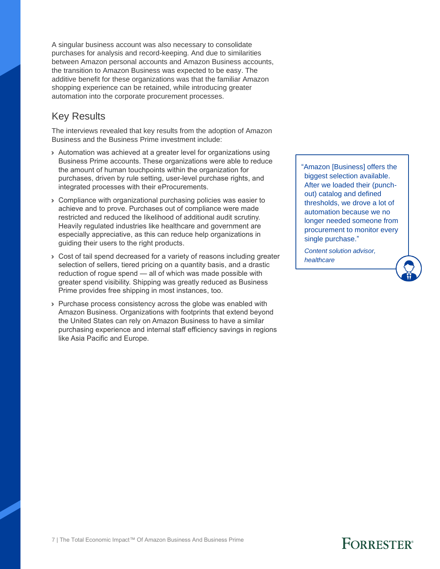A singular business account was also necessary to consolidate purchases for analysis and record-keeping. And due to similarities between Amazon personal accounts and Amazon Business accounts, the transition to Amazon Business was expected to be easy. The additive benefit for these organizations was that the familiar Amazon shopping experience can be retained, while introducing greater automation into the corporate procurement processes.

#### Key Results

The interviews revealed that key results from the adoption of Amazon Business and the Business Prime investment include:

- › Automation was achieved at a greater level for organizations using Business Prime accounts. These organizations were able to reduce the amount of human touchpoints within the organization for purchases, driven by rule setting, user-level purchase rights, and integrated processes with their eProcurements.
- › Compliance with organizational purchasing policies was easier to achieve and to prove. Purchases out of compliance were made restricted and reduced the likelihood of additional audit scrutiny. Heavily regulated industries like healthcare and government are especially appreciative, as this can reduce help organizations in guiding their users to the right products.
- › Cost of tail spend decreased for a variety of reasons including greater selection of sellers, tiered pricing on a quantity basis, and a drastic reduction of rogue spend — all of which was made possible with greater spend visibility. Shipping was greatly reduced as Business Prime provides free shipping in most instances, too.
- › Purchase process consistency across the globe was enabled with Amazon Business. Organizations with footprints that extend beyond the United States can rely on Amazon Business to have a similar purchasing experience and internal staff efficiency savings in regions like Asia Pacific and Europe.

"Amazon [Business] offers the biggest selection available. After we loaded their (punchout) catalog and defined thresholds, we drove a lot of automation because we no longer needed someone from procurement to monitor every single purchase."

*Content solution advisor, healthcare*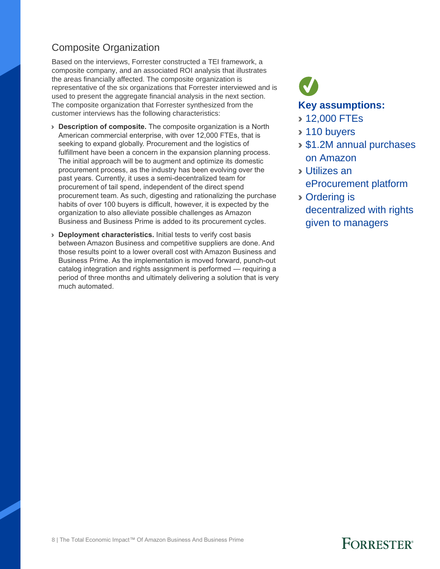### Composite Organization

Based on the interviews, Forrester constructed a TEI framework, a composite company, and an associated ROI analysis that illustrates the areas financially affected. The composite organization is representative of the six organizations that Forrester interviewed and is used to present the aggregate financial analysis in the next section. The composite organization that Forrester synthesized from the customer interviews has the following characteristics:

- › **Description of composite.** The composite organization is a North American commercial enterprise, with over 12,000 FTEs, that is seeking to expand globally. Procurement and the logistics of fulfillment have been a concern in the expansion planning process. The initial approach will be to augment and optimize its domestic procurement process, as the industry has been evolving over the past years. Currently, it uses a semi-decentralized team for procurement of tail spend, independent of the direct spend procurement team. As such, digesting and rationalizing the purchase habits of over 100 buyers is difficult, however, it is expected by the organization to also alleviate possible challenges as Amazon Business and Business Prime is added to its procurement cycles.
- › **Deployment characteristics.** Initial tests to verify cost basis between Amazon Business and competitive suppliers are done. And those results point to a lower overall cost with Amazon Business and Business Prime. As the implementation is moved forward, punch-out catalog integration and rights assignment is performed — requiring a period of three months and ultimately delivering a solution that is very much automated.

# **Key assumptions:**

- › 12,000 FTEs
- › 110 buyers
- › \$1.2M annual purchases on Amazon
- › Utilizes an eProcurement platform
- › Ordering is decentralized with rights given to managers

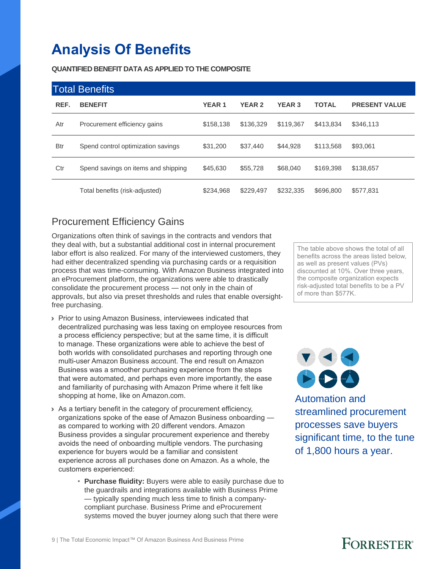# **Analysis Of Benefits**

**QUANTIFIED BENEFIT DATA AS APPLIED TO THE COMPOSITE**

| <b>Total Benefits</b> |                                     |              |               |               |              |                      |  |
|-----------------------|-------------------------------------|--------------|---------------|---------------|--------------|----------------------|--|
| REF.                  | <b>BENEFIT</b>                      | <b>YEAR1</b> | <b>YEAR 2</b> | <b>YEAR 3</b> | <b>TOTAL</b> | <b>PRESENT VALUE</b> |  |
| Atr                   | Procurement efficiency gains        | \$158,138    | \$136,329     | \$119.367     | \$413,834    | \$346,113            |  |
| <b>Btr</b>            | Spend control optimization savings  | \$31,200     | \$37,440      | \$44.928      | \$113,568    | \$93,061             |  |
| Ctr                   | Spend savings on items and shipping | \$45,630     | \$55,728      | \$68,040      | \$169,398    | \$138,657            |  |
|                       | Total benefits (risk-adjusted)      | \$234,968    | \$229,497     | \$232,335     | \$696,800    | \$577,831            |  |

### Procurement Efficiency Gains

Organizations often think of savings in the contracts and vendors that they deal with, but a substantial additional cost in internal procurement labor effort is also realized. For many of the interviewed customers, they had either decentralized spending via purchasing cards or a requisition process that was time-consuming. With Amazon Business integrated into an eProcurement platform, the organizations were able to drastically consolidate the procurement process — not only in the chain of approvals, but also via preset thresholds and rules that enable oversightfree purchasing.

- › Prior to using Amazon Business, interviewees indicated that decentralized purchasing was less taxing on employee resources from a process efficiency perspective; but at the same time, it is difficult to manage. These organizations were able to achieve the best of both worlds with consolidated purchases and reporting through one multi-user Amazon Business account. The end result on Amazon Business was a smoother purchasing experience from the steps that were automated, and perhaps even more importantly, the ease and familiarity of purchasing with Amazon Prime where it felt like shopping at home, like on Amazon.com.
- › As a tertiary benefit in the category of procurement efficiency, organizations spoke of the ease of Amazon Business onboarding as compared to working with 20 different vendors. Amazon Business provides a singular procurement experience and thereby avoids the need of onboarding multiple vendors. The purchasing experience for buyers would be a familiar and consistent experience across all purchases done on Amazon. As a whole, the customers experienced:
	- **Purchase fluidity:** Buyers were able to easily purchase due to the guardrails and integrations available with Business Prime — typically spending much less time to finish a companycompliant purchase. Business Prime and eProcurement systems moved the buyer journey along such that there were

The table above shows the total of all benefits across the areas listed below, as well as present values (PVs) discounted at 10%. Over three years, the composite organization expects risk-adjusted total benefits to be a PV of more than \$577K.



Automation and streamlined procurement processes save buyers significant time, to the tune of 1,800 hours a year.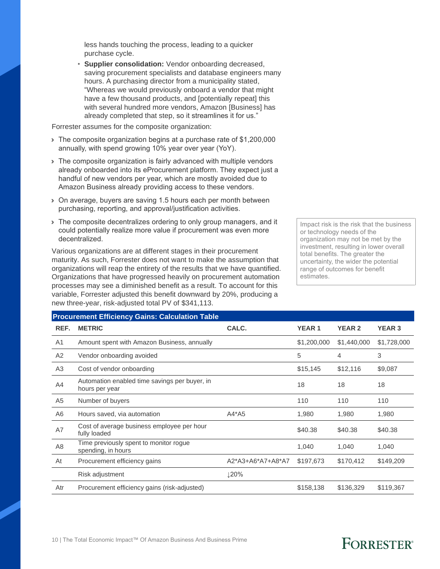less hands touching the process, leading to a quicker purchase cycle.

• **Supplier consolidation:** Vendor onboarding decreased, saving procurement specialists and database engineers many hours. A purchasing director from a municipality stated, "Whereas we would previously onboard a vendor that might have a few thousand products, and [potentially repeat] this with several hundred more vendors, Amazon [Business] has already completed that step, so it streamlines it for us."

Forrester assumes for the composite organization:

- › The composite organization begins at a purchase rate of \$1,200,000 annually, with spend growing 10% year over year (YoY).
- › The composite organization is fairly advanced with multiple vendors already onboarded into its eProcurement platform. They expect just a handful of new vendors per year, which are mostly avoided due to Amazon Business already providing access to these vendors.
- › On average, buyers are saving 1.5 hours each per month between purchasing, reporting, and approval/justification activities.
- › The composite decentralizes ordering to only group managers, and it could potentially realize more value if procurement was even more decentralized.

Various organizations are at different stages in their procurement maturity. As such, Forrester does not want to make the assumption that organizations will reap the entirety of the results that we have quantified. Organizations that have progressed heavily on procurement automation processes may see a diminished benefit as a result. To account for this variable, Forrester adjusted this benefit downward by 20%, producing a new three-year, risk-adjusted total PV of \$341,113.

Impact risk is the risk that the business or technology needs of the organization may not be met by the investment, resulting in lower overall total benefits. The greater the uncertainty, the wider the potential range of outcomes for benefit estimates.

| <b>Procurement Efficiency Gains: Calculation Table</b> |                                                                 |                   |              |               |               |  |  |  |  |
|--------------------------------------------------------|-----------------------------------------------------------------|-------------------|--------------|---------------|---------------|--|--|--|--|
| REF.                                                   | <b>METRIC</b>                                                   | CALC.             | <b>YEAR1</b> | <b>YEAR 2</b> | <b>YEAR 3</b> |  |  |  |  |
| A <sub>1</sub>                                         | Amount spent with Amazon Business, annually                     |                   | \$1,200,000  | \$1,440,000   | \$1,728,000   |  |  |  |  |
| A2                                                     | Vendor onboarding avoided                                       |                   | 5            | 4             | 3             |  |  |  |  |
| A <sub>3</sub>                                         | Cost of vendor onboarding                                       |                   | \$15,145     | \$12,116      | \$9,087       |  |  |  |  |
| A4                                                     | Automation enabled time savings per buyer, in<br>hours per year |                   | 18           | 18            | 18            |  |  |  |  |
| A5                                                     | Number of buyers                                                |                   | 110          | 110           | 110           |  |  |  |  |
| A6                                                     | Hours saved, via automation                                     | $A4*A5$           | 1,980        | 1,980         | 1,980         |  |  |  |  |
| A7                                                     | Cost of average business employee per hour<br>fully loaded      |                   | \$40.38      | \$40.38       | \$40.38       |  |  |  |  |
| A8                                                     | Time previously spent to monitor rogue<br>spending, in hours    |                   | 1,040        | 1,040         | 1,040         |  |  |  |  |
| At                                                     | Procurement efficiency gains                                    | A2*A3+A6*A7+A8*A7 | \$197,673    | \$170,412     | \$149,209     |  |  |  |  |
|                                                        | Risk adjustment                                                 | ↓20%              |              |               |               |  |  |  |  |
| Atr                                                    | Procurement efficiency gains (risk-adjusted)                    |                   | \$158,138    | \$136,329     | \$119,367     |  |  |  |  |
|                                                        |                                                                 |                   |              |               |               |  |  |  |  |

#### 10 | The Total Economic Impact™ Of Amazon Business And Business Prime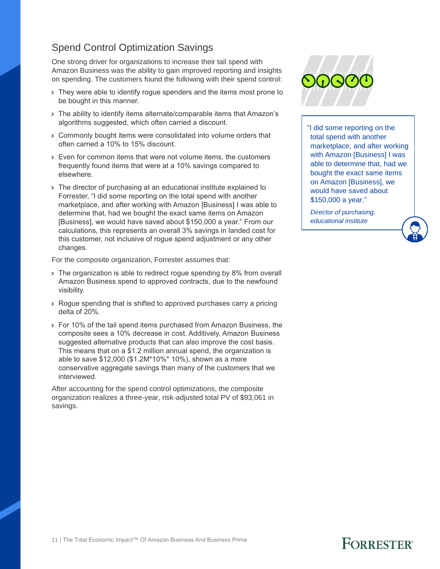### Spend Control Optimization Savings

One strong driver for organizations to increase their tail spend with Amazon Business was the ability to gain improved reporting and insights on spending. The customers found the following with their spend control:

- › They were able to identify rogue spenders and the items most prone to be bought in this manner.
- › The ability to identify items alternate/comparable items that Amazon's algorithms suggested, which often carried a discount.
- › Commonly bought items were consolidated into volume orders that often carried a 10% to 15% discount.
- › Even for common items that were not volume items, the customers frequently found items that were at a 10% savings compared to elsewhere.
- › The director of purchasing at an educational institute explained to Forrester, "I did some reporting on the total spend with another marketplace, and after working with Amazon [Business] I was able to determine that, had we bought the exact same items on Amazon [Business], we would have saved about \$150,000 a year." From our calculations, this represents an overall 3% savings in landed cost for this customer, not inclusive of rogue spend adjustment or any other changes.

For the composite organization, Forrester assumes that:

- If The organization is able to redirect roque spending by 8% from overall Amazon Business spend to approved contracts, due to the newfound visibility.
- › Rogue spending that is shifted to approved purchases carry a pricing delta of 20%.
- › For 10% of the tail spend items purchased from Amazon Business, the composite sees a 10% decrease in cost. Additively, Amazon Business suggested alternative products that can also improve the cost basis. This means that on a \$1.2 million annual spend, the organization is able to save \$12,000 (\$1.2M\*10%\* 10%), shown as a more conservative aggregate savings than many of the customers that we interviewed.

After accounting for the spend control optimizations, the composite organization realizes a three-year, risk-adjusted total PV of \$93,061 in savings.



"I did some reporting on the total spend with another marketplace, and after working with Amazon [Business] I was able to determine that, had we bought the exact same items on Amazon [Business], we would have saved about \$150,000 a year."

*Director of purchasing, educational institute*

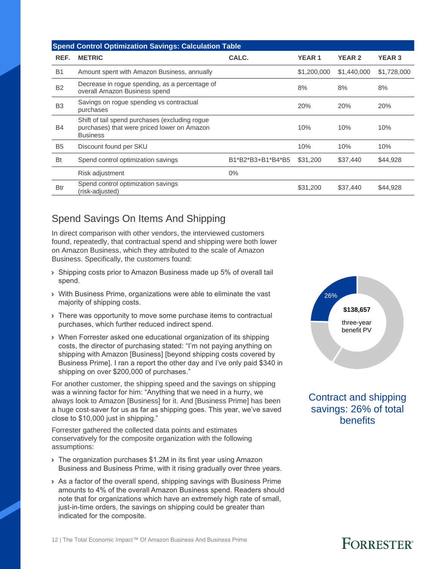| <b>Spend Control Optimization Savings: Calculation Table</b> |                                                                                                                  |                   |              |               |               |  |  |  |
|--------------------------------------------------------------|------------------------------------------------------------------------------------------------------------------|-------------------|--------------|---------------|---------------|--|--|--|
| REF.                                                         | <b>METRIC</b>                                                                                                    | CALC.             | <b>YEAR1</b> | <b>YEAR 2</b> | <b>YEAR 3</b> |  |  |  |
| B <sub>1</sub>                                               | Amount spent with Amazon Business, annually                                                                      |                   | \$1,200,000  | \$1,440,000   | \$1,728,000   |  |  |  |
| <b>B2</b>                                                    | Decrease in rogue spending, as a percentage of<br>overall Amazon Business spend                                  |                   | 8%           | 8%            | 8%            |  |  |  |
| B <sub>3</sub>                                               | Savings on rogue spending vs contractual<br>purchases                                                            |                   | 20%          | 20%           | 20%           |  |  |  |
| <b>B4</b>                                                    | Shift of tail spend purchases (excluding rogue<br>purchases) that were priced lower on Amazon<br><b>Business</b> |                   | 10%          | 10%           | 10%           |  |  |  |
| B <sub>5</sub>                                               | Discount found per SKU                                                                                           |                   | 10%          | 10%           | 10%           |  |  |  |
| <b>Bt</b>                                                    | Spend control optimization savings                                                                               | B1*B2*B3+B1*B4*B5 | \$31,200     | \$37,440      | \$44,928      |  |  |  |
|                                                              | Risk adjustment                                                                                                  | $0\%$             |              |               |               |  |  |  |
| <b>Btr</b>                                                   | Spend control optimization savings<br>(risk-adjusted)                                                            |                   | \$31,200     | \$37,440      | \$44,928      |  |  |  |

### Spend Savings On Items And Shipping

In direct comparison with other vendors, the interviewed customers found, repeatedly, that contractual spend and shipping were both lower on Amazon Business, which they attributed to the scale of Amazon Business. Specifically, the customers found:

- › Shipping costs prior to Amazon Business made up 5% of overall tail spend.
- › With Business Prime, organizations were able to eliminate the vast majority of shipping costs.
- › There was opportunity to move some purchase items to contractual purchases, which further reduced indirect spend.
- › When Forrester asked one educational organization of its shipping costs, the director of purchasing stated: "I'm not paying anything on shipping with Amazon [Business] [beyond shipping costs covered by Business Prime]. I ran a report the other day and I've only paid \$340 in shipping on over \$200,000 of purchases."

For another customer, the shipping speed and the savings on shipping was a winning factor for him: "Anything that we need in a hurry, we always look to Amazon [Business] for it. And [Business Prime] has been a huge cost-saver for us as far as shipping goes. This year, we've saved close to \$10,000 just in shipping."

Forrester gathered the collected data points and estimates conservatively for the composite organization with the following assumptions:

- › The organization purchases \$1.2M in its first year using Amazon Business and Business Prime, with it rising gradually over three years.
- › As a factor of the overall spend, shipping savings with Business Prime amounts to 4% of the overall Amazon Business spend. Readers should note that for organizations which have an extremely high rate of small, just-in-time orders, the savings on shipping could be greater than indicated for the composite.



Contract and shipping savings: 26% of total **benefits**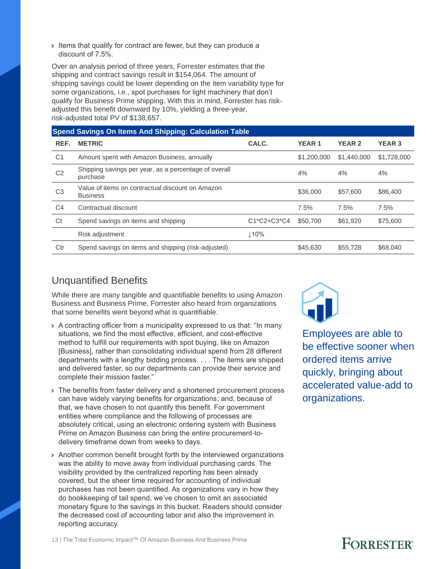› Items that qualify for contract are fewer, but they can produce a discount of 7.5%.

Over an analysis period of three years, Forrester estimates that the shipping and contract savings result in \$154,064. The amount of shipping savings could be lower depending on the item variability type for some organizations, i.e., spot purchases for light machinery that don't qualify for Business Prime shipping. With this in mind, Forrester has riskadjusted this benefit downward by 10%, yielding a three-year, risk-adjusted total PV of \$138,657.

| <b>Spend Savings On Items And Shipping: Calculation Table</b> |                                                                     |               |              |               |               |  |  |  |
|---------------------------------------------------------------|---------------------------------------------------------------------|---------------|--------------|---------------|---------------|--|--|--|
| REF.                                                          | <b>METRIC</b>                                                       | CALC.         | <b>YEAR1</b> | <b>YEAR 2</b> | <b>YEAR 3</b> |  |  |  |
| C <sub>1</sub>                                                | Amount spent with Amazon Business, annually                         |               | \$1,200,000  | \$1,440,000   | \$1,728,000   |  |  |  |
| C <sub>2</sub>                                                | Shipping savings per year, as a percentage of overall<br>purchase   |               | 4%           | 4%            | 4%            |  |  |  |
| C <sub>3</sub>                                                | Value of items on contractual discount on Amazon<br><b>Business</b> |               | \$36,000     | \$57,600      | \$86,400      |  |  |  |
| C <sub>4</sub>                                                | Contractual discount                                                |               | 7.5%         | 7.5%          | 7.5%          |  |  |  |
| Ct                                                            | Spend savings on items and shipping                                 | $C1*C2+C3*C4$ | \$50,700     | \$61,920      | \$75,600      |  |  |  |
|                                                               | Risk adjustment                                                     | 110%          |              |               |               |  |  |  |
| Ctr                                                           | Spend savings on items and shipping (risk-adjusted)                 |               | \$45,630     | \$55,728      | \$68,040      |  |  |  |

#### Unquantified Benefits

While there are many tangible and quantifiable benefits to using Amazon Business and Business Prime, Forrester also heard from organizations that some benefits went beyond what is quantifiable.

- › A contracting officer from a municipality expressed to us that: "In many situations, we find the most effective, efficient, and cost-effective method to fulfill our requirements with spot buying, like on Amazon [Business], rather than consolidating individual spend from 28 different departments with a lengthy bidding process. . . . The items are shipped and delivered faster, so our departments can provide their service and complete their mission faster."
- › The benefits from faster delivery and a shortened procurement process can have widely varying benefits for organizations; and, because of that, we have chosen to not quantify this benefit. For government entities where compliance and the following of processes are absolutely critical, using an electronic ordering system with Business Prime on Amazon Business can bring the entire procurement-todelivery timeframe down from weeks to days.
- › Another common benefit brought forth by the interviewed organizations was the ability to move away from individual purchasing cards. The visibility provided by the centralized reporting has been already covered, but the sheer time required for accounting of individual purchases has not been quantified. As organizations vary in how they do bookkeeping of tail spend, we've chosen to omit an associated monetary figure to the savings in this bucket. Readers should consider the decreased cost of accounting labor and also the improvement in reporting accuracy.



Employees are able to be effective sooner when ordered items arrive quickly, bringing about accelerated value-add to organizations.

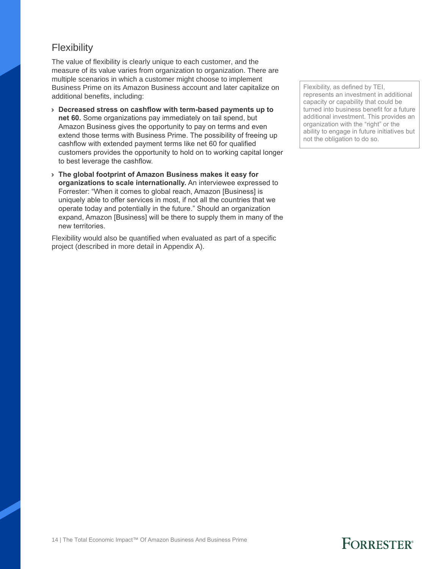#### **Flexibility**

The value of flexibility is clearly unique to each customer, and the measure of its value varies from organization to organization. There are multiple scenarios in which a customer might choose to implement Business Prime on its Amazon Business account and later capitalize on additional benefits, including:

- › **Decreased stress on cashflow with term-based payments up to net 60.** Some organizations pay immediately on tail spend, but Amazon Business gives the opportunity to pay on terms and even extend those terms with Business Prime. The possibility of freeing up cashflow with extended payment terms like net 60 for qualified customers provides the opportunity to hold on to working capital longer to best leverage the cashflow.
- › **The global footprint of Amazon Business makes it easy for organizations to scale internationally.** An interviewee expressed to Forrester: "When it comes to global reach, Amazon [Business] is uniquely able to offer services in most, if not all the countries that we operate today and potentially in the future." Should an organization expand, Amazon [Business] will be there to supply them in many of the new territories.

Flexibility would also be quantified when evaluated as part of a specific project (described in more detail in Appendix A).

Flexibility, as defined by TEI, represents an investment in additional capacity or capability that could be turned into business benefit for a future additional investment. This provides an organization with the "right" or the ability to engage in future initiatives but not the obligation to do so.

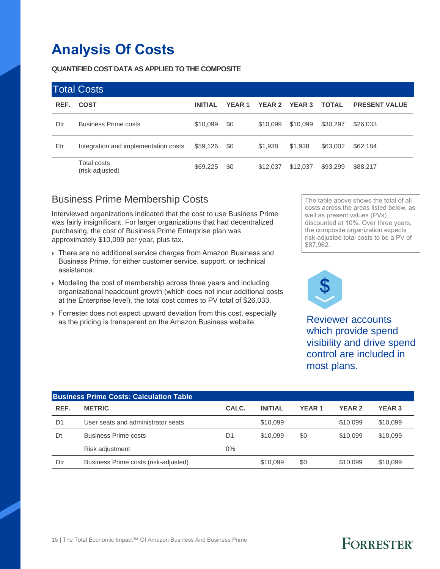# **Analysis Of Costs**

#### **QUANTIFIED COST DATA AS APPLIED TO THE COMPOSITE**

| <b>Total Costs</b> |                                      |                |               |               |               |              |                      |  |
|--------------------|--------------------------------------|----------------|---------------|---------------|---------------|--------------|----------------------|--|
| REF.               | <b>COST</b>                          | <b>INITIAL</b> | <b>YEAR 1</b> | <b>YEAR 2</b> | <b>YEAR 3</b> | <b>TOTAL</b> | <b>PRESENT VALUE</b> |  |
| Dtr                | <b>Business Prime costs</b>          | \$10,099       | \$0           | \$10,099      | \$10,099      | \$30,297     | \$26,033             |  |
| Etr                | Integration and implementation costs | \$59,126       | \$0           | \$1,938       | \$1,938       | \$63,002     | \$62,184             |  |
|                    | Total costs<br>(risk-adjusted)       | \$69,225       | \$0           | \$12.037      | \$12,037      | \$93,299     | \$88,217             |  |

#### Business Prime Membership Costs

Interviewed organizations indicated that the cost to use Business Prime was fairly insignificant. For larger organizations that had decentralized purchasing, the cost of Business Prime Enterprise plan was approximately \$10,099 per year, plus tax.

- › There are no additional service charges from Amazon Business and Business Prime, for either customer service, support, or technical assistance.
- › Modeling the cost of membership across three years and including organizational headcount growth (which does not incur additional costs at the Enterprise level), the total cost comes to PV total of \$26,033.
- › Forrester does not expect upward deviation from this cost, especially as the pricing is transparent on the Amazon Business website.

The table above shows the total of all costs across the areas listed below, as well as present values (PVs) discounted at 10%. Over three years, the composite organization expects risk-adjusted total costs to be a PV of \$87,962.



Reviewer accounts which provide spend visibility and drive spend control are included in most plans.

| <b>Business Prime Costs: Calculation Table</b> |                                      |       |                |              |               |               |  |  |
|------------------------------------------------|--------------------------------------|-------|----------------|--------------|---------------|---------------|--|--|
| REF.                                           | <b>METRIC</b>                        | CALC. | <b>INITIAL</b> | <b>YEAR1</b> | <b>YEAR 2</b> | <b>YEAR 3</b> |  |  |
| D <sub>1</sub>                                 | User seats and administrator seats   |       | \$10.099       |              | \$10.099      | \$10,099      |  |  |
| Dt                                             | <b>Business Prime costs</b>          | D1    | \$10,099       | \$0          | \$10,099      | \$10,099      |  |  |
|                                                | Risk adjustment                      | 0%    |                |              |               |               |  |  |
| Dtr                                            | Business Prime costs (risk-adjusted) |       | \$10.099       | \$0          | \$10.099      | \$10,099      |  |  |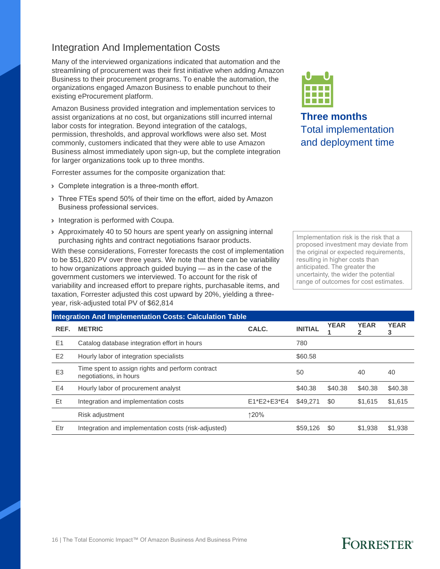#### Integration And Implementation Costs

Many of the interviewed organizations indicated that automation and the streamlining of procurement was their first initiative when adding Amazon Business to their procurement programs. To enable the automation, the organizations engaged Amazon Business to enable punchout to their existing eProcurement platform.

Amazon Business provided integration and implementation services to assist organizations at no cost, but organizations still incurred internal labor costs for integration. Beyond integration of the catalogs, permission, thresholds, and approval workflows were also set. Most commonly, customers indicated that they were able to use Amazon Business almost immediately upon sign-up, but the complete integration for larger organizations took up to three months.

Forrester assumes for the composite organization that:

- › Complete integration is a three-month effort.
- > Three FTEs spend 50% of their time on the effort, aided by Amazon Business professional services.
- › Integration is performed with Coupa.
- › Approximately 40 to 50 hours are spent yearly on assigning internal purchasing rights and contract negotiations fsaraor products.

With these considerations, Forrester forecasts the cost of implementation to be \$51,820 PV over three years. We note that there can be variability to how organizations approach guided buying — as in the case of the government customers we interviewed. To account for the risk of variability and increased effort to prepare rights, purchasable items, and taxation, Forrester adjusted this cost upward by 20%, yielding a threeyear, risk-adjusted total PV of \$62,814



**Three months** Total implementation and deployment time

Implementation risk is the risk that a proposed investment may deviate from the original or expected requirements, resulting in higher costs than anticipated. The greater the uncertainty, the wider the potential range of outcomes for cost estimates.

#### **Integration And Implementation Costs: Calculation Table**

| REF.           | <b>METRIC</b>                                                              | CALC.       | <b>INITIAL</b> | <b>YEAR</b> | <b>YEAR</b> | <b>YEAR</b><br>3 |
|----------------|----------------------------------------------------------------------------|-------------|----------------|-------------|-------------|------------------|
| E1             | Catalog database integration effort in hours                               |             | 780            |             |             |                  |
| E <sub>2</sub> | Hourly labor of integration specialists                                    |             | \$60.58        |             |             |                  |
| E <sub>3</sub> | Time spent to assign rights and perform contract<br>negotiations, in hours |             | 50             |             | 40          | 40               |
| E4             | Hourly labor of procurement analyst                                        |             | \$40.38        | \$40.38     | \$40.38     | \$40.38          |
| Et             | Integration and implementation costs                                       | E1*E2+E3*E4 | \$49,271       | \$0         | \$1,615     | \$1,615          |
|                | Risk adjustment                                                            | ↑20%        |                |             |             |                  |
| Etr            | Integration and implementation costs (risk-adjusted)                       |             | \$59,126       | \$0         | \$1,938     | \$1.938          |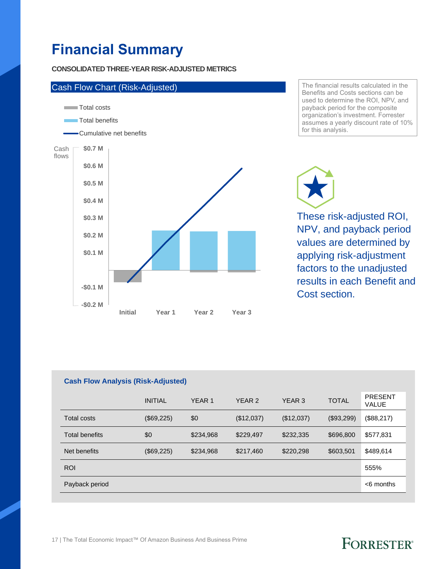# **Financial Summary**

#### **CONSOLIDATED THREE-YEAR RISK-ADJUSTED METRICS**



The financial results calculated in the Benefits and Costs sections can be used to determine the ROI, NPV, and payback period for the composite organization's investment. Forrester assumes a yearly discount rate of 10% for this analysis.

These risk-adjusted ROI, NPV, and payback period values are determined by applying risk-adjustment

# factors to the unadjusted results in each Benefit and Cost section.

#### **Cash Flow Analysis (Risk-Adjusted)**

|                       | <b>INITIAL</b> | YEAR <sub>1</sub> | YEAR 2     | YEAR 3     | <b>TOTAL</b> | <b>PRESENT</b><br>VALUE |
|-----------------------|----------------|-------------------|------------|------------|--------------|-------------------------|
| Total costs           | (\$69,225)     | \$0               | (\$12,037) | (\$12,037) | (\$93,299)   | (\$88,217)              |
| <b>Total benefits</b> | \$0            | \$234,968         | \$229,497  | \$232,335  | \$696,800    | \$577,831               |
| Net benefits          | (\$69,225)     | \$234,968         | \$217,460  | \$220,298  | \$603,501    | \$489,614               |
| <b>ROI</b>            |                |                   |            |            |              | 555%                    |
| Payback period        |                |                   |            |            |              | $<$ 6 months            |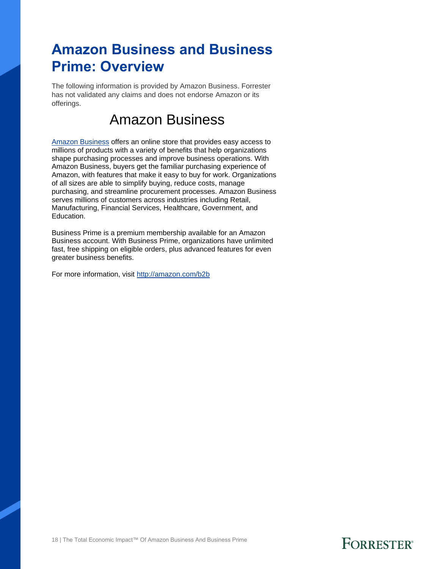# **Amazon Business and Business Prime: Overview**

The following information is provided by Amazon Business. Forrester has not validated any claims and does not endorse Amazon or its offerings.

### Amazon Business

Amazon [Business](http://amazon.com/b2b) offers an online store that provides easy access to millions of products with a variety of benefits that help organizations shape purchasing processes and improve business operations. With Amazon Business, buyers get the familiar purchasing experience of Amazon, with features that make it easy to buy for work. Organizations of all sizes are able to simplify buying, reduce costs, manage purchasing, and streamline procurement processes. Amazon Business serves millions of customers across industries including Retail, Manufacturing, Financial Services, Healthcare, Government, and Education.

Business Prime is a premium membership available for an Amazon Business account. With Business Prime, organizations have unlimited fast, free shipping on eligible orders, plus advanced features for even greater business benefits.

For more information, visit<http://amazon.com/b2b>